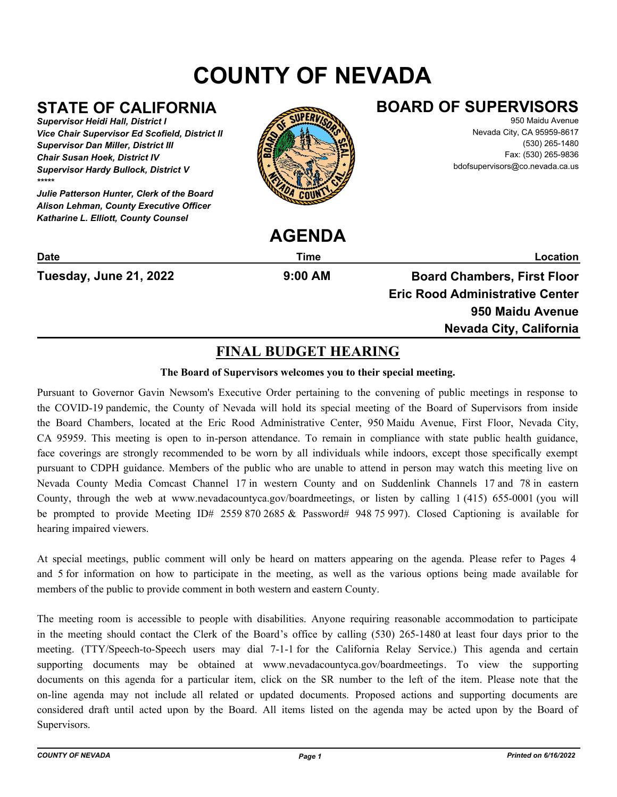# **COUNTY OF NEVADA**

## **STATE OF CALIFORNIA**

*Supervisor Heidi Hall, District I Vice Chair Supervisor Ed Scofield, District II Supervisor Dan Miller, District III Chair Susan Hoek, District IV Supervisor Hardy Bullock, District V \*\*\*\*\**

*Julie Patterson Hunter, Clerk of the Board Alison Lehman, County Executive Officer Katharine L. Elliott, County Counsel*



## **BOARD OF SUPERVISORS**

950 Maidu Avenue Nevada City, CA 95959-8617 (530) 265-1480 Fax: (530) 265-9836 bdofsupervisors@co.nevada.ca.us

|                               | AULIVUA   |                                        |
|-------------------------------|-----------|----------------------------------------|
| <b>Date</b>                   | Time      | Location                               |
| <b>Tuesday, June 21, 2022</b> | $9:00$ AM | <b>Board Chambers, First Floor</b>     |
|                               |           | <b>Eric Rood Administrative Center</b> |
|                               |           | 950 Maidu Avenue                       |
|                               |           | Nevada City, California                |
|                               |           |                                        |

**AGENDA**

## **FINAL BUDGET HEARING**

## **The Board of Supervisors welcomes you to their special meeting.**

Pursuant to Governor Gavin Newsom's Executive Order pertaining to the convening of public meetings in response to the COVID-19 pandemic, the County of Nevada will hold its special meeting of the Board of Supervisors from inside the Board Chambers, located at the Eric Rood Administrative Center, 950 Maidu Avenue, First Floor, Nevada City, CA 95959. This meeting is open to in-person attendance. To remain in compliance with state public health guidance, face coverings are strongly recommended to be worn by all individuals while indoors, except those specifically exempt pursuant to CDPH guidance. Members of the public who are unable to attend in person may watch this meeting live on Nevada County Media Comcast Channel 17 in western County and on Suddenlink Channels 17 and 78 in eastern County, through the web at www.nevadacountyca.gov/boardmeetings, or listen by calling 1 (415) 655-0001 (you will be prompted to provide Meeting ID# 2559 870 2685 & Password# 948 75 997). Closed Captioning is available for hearing impaired viewers.

At special meetings, public comment will only be heard on matters appearing on the agenda. Please refer to Pages 4 and 5 for information on how to participate in the meeting, as well as the various options being made available for members of the public to provide comment in both western and eastern County.

The meeting room is accessible to people with disabilities. Anyone requiring reasonable accommodation to participate in the meeting should contact the Clerk of the Board's office by calling (530) 265-1480 at least four days prior to the meeting. (TTY/Speech-to-Speech users may dial 7-1-1 for the California Relay Service.) This agenda and certain supporting documents may be obtained at www.nevadacountyca.gov/boardmeetings. To view the supporting documents on this agenda for a particular item, click on the SR number to the left of the item. Please note that the on-line agenda may not include all related or updated documents. Proposed actions and supporting documents are considered draft until acted upon by the Board. All items listed on the agenda may be acted upon by the Board of Supervisors.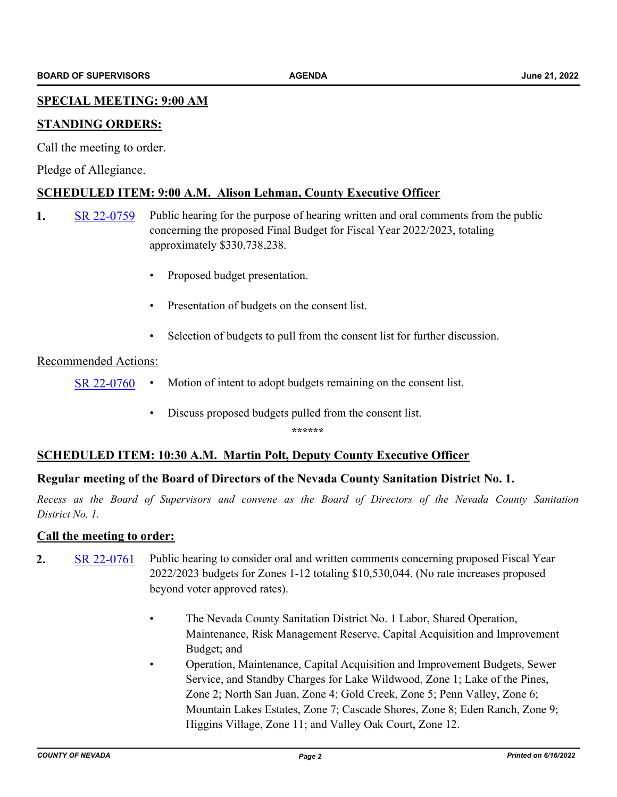## **SPECIAL MEETING: 9:00 AM**

## **STANDING ORDERS:**

Call the meeting to order.

Pledge of Allegiance.

## **SCHEDULED ITEM: 9:00 A.M. Alison Lehman, County Executive Officer**

- **1.** [SR 22-0759](http://nevco.legistar.com/gateway.aspx?m=l&id=/matter.aspx?key=41087) Public hearing for the purpose of hearing written and oral comments from the public concerning the proposed Final Budget for Fiscal Year 2022/2023, totaling approximately \$330,738,238.
	- Proposed budget presentation.
	- Presentation of budgets on the consent list.
	- Selection of budgets to pull from the consent list for further discussion.

## Recommended Actions:

- [SR 22-0760](http://nevco.legistar.com/gateway.aspx?m=l&id=/matter.aspx?key=41088) Motion of intent to adopt budgets remaining on the consent list.
	- Discuss proposed budgets pulled from the consent list.

**\*\*\*\*\*\***

## **SCHEDULED ITEM: 10:30 A.M. Martin Polt, Deputy County Executive Officer**

## **Regular meeting of the Board of Directors of the Nevada County Sanitation District No. 1.**

*Recess as the Board of Supervisors and convene as the Board of Directors of the Nevada County Sanitation District No. 1.*

## **Call the meeting to order:**

- **2.** [SR 22-0761](http://nevco.legistar.com/gateway.aspx?m=l&id=/matter.aspx?key=41089) Public hearing to consider oral and written comments concerning proposed Fiscal Year 2022/2023 budgets for Zones 1-12 totaling \$10,530,044. (No rate increases proposed beyond voter approved rates).
	- The Nevada County Sanitation District No. 1 Labor, Shared Operation, Maintenance, Risk Management Reserve, Capital Acquisition and Improvement Budget; and
	- Operation, Maintenance, Capital Acquisition and Improvement Budgets, Sewer Service, and Standby Charges for Lake Wildwood, Zone 1; Lake of the Pines, Zone 2; North San Juan, Zone 4; Gold Creek, Zone 5; Penn Valley, Zone 6; Mountain Lakes Estates, Zone 7; Cascade Shores, Zone 8; Eden Ranch, Zone 9; Higgins Village, Zone 11; and Valley Oak Court, Zone 12.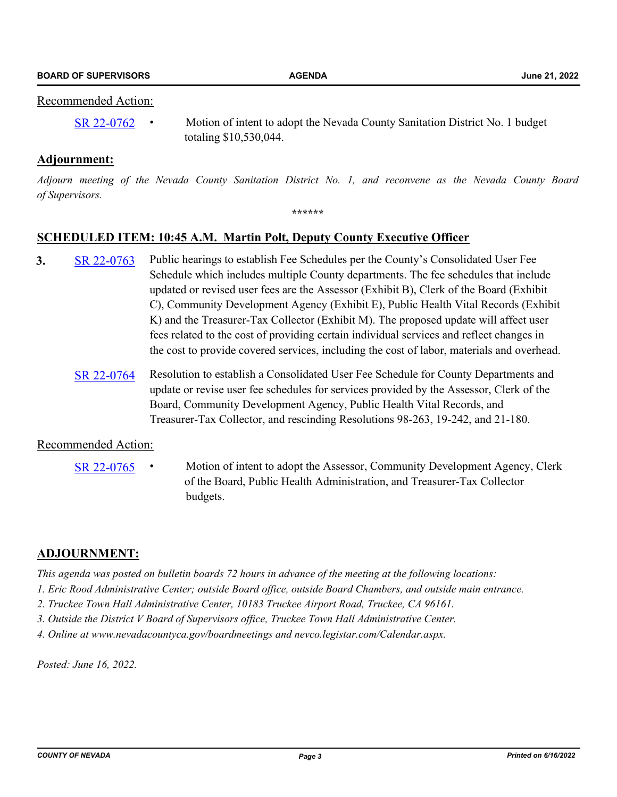## Recommended Action:

[SR 22-0762](http://nevco.legistar.com/gateway.aspx?m=l&id=/matter.aspx?key=41090) • Motion of intent to adopt the Nevada County Sanitation District No. 1 budget totaling \$10,530,044.

## **Adjournment:**

*Adjourn meeting of the Nevada County Sanitation District No. 1, and reconvene as the Nevada County Board of Supervisors.*

#### **\*\*\*\*\*\***

## **SCHEDULED ITEM: 10:45 A.M. Martin Polt, Deputy County Executive Officer**

- **3.** [SR 22-0763](http://nevco.legistar.com/gateway.aspx?m=l&id=/matter.aspx?key=41091) Public hearings to establish Fee Schedules per the County's Consolidated User Fee Schedule which includes multiple County departments. The fee schedules that include updated or revised user fees are the Assessor (Exhibit B), Clerk of the Board (Exhibit C), Community Development Agency (Exhibit E), Public Health Vital Records (Exhibit K) and the Treasurer-Tax Collector (Exhibit M). The proposed update will affect user fees related to the cost of providing certain individual services and reflect changes in the cost to provide covered services, including the cost of labor, materials and overhead.
	- [SR 22-0764](http://nevco.legistar.com/gateway.aspx?m=l&id=/matter.aspx?key=41092) Resolution to establish a Consolidated User Fee Schedule for County Departments and update or revise user fee schedules for services provided by the Assessor, Clerk of the Board, Community Development Agency, Public Health Vital Records, and Treasurer-Tax Collector, and rescinding Resolutions 98-263, 19-242, and 21-180.

## Recommended Action:

[SR 22-0765](http://nevco.legistar.com/gateway.aspx?m=l&id=/matter.aspx?key=41093) • Motion of intent to adopt the Assessor, Community Development Agency, Clerk of the Board, Public Health Administration, and Treasurer-Tax Collector budgets.

## **ADJOURNMENT:**

*This agenda was posted on bulletin boards 72 hours in advance of the meeting at the following locations:*

- *1. Eric Rood Administrative Center; outside Board office, outside Board Chambers, and outside main entrance.*
- *2. Truckee Town Hall Administrative Center, 10183 Truckee Airport Road, Truckee, CA 96161.*
- *3. Outside the District V Board of Supervisors office, Truckee Town Hall Administrative Center.*
- *4. Online at www.nevadacountyca.gov/boardmeetings and nevco.legistar.com/Calendar.aspx.*

*Posted: June 16, 2022.*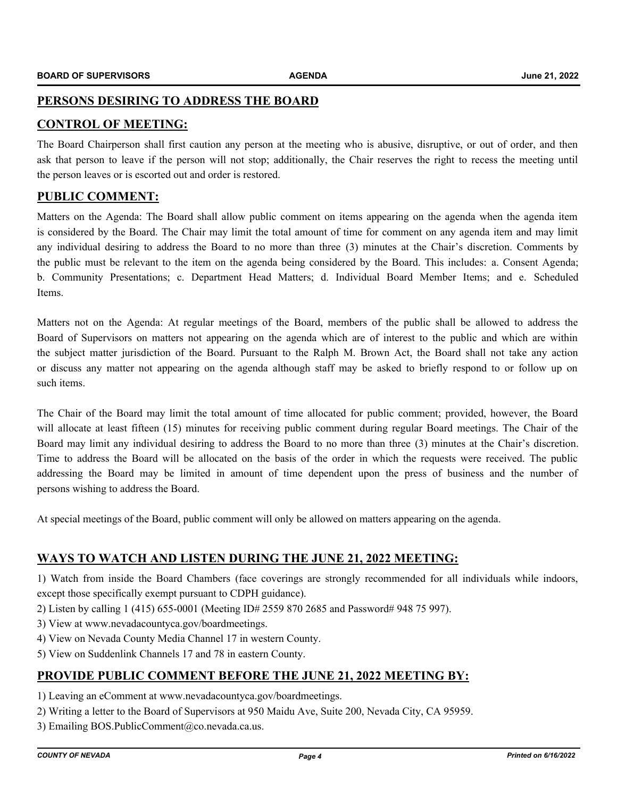## **PERSONS DESIRING TO ADDRESS THE BOARD**

## **CONTROL OF MEETING:**

The Board Chairperson shall first caution any person at the meeting who is abusive, disruptive, or out of order, and then ask that person to leave if the person will not stop; additionally, the Chair reserves the right to recess the meeting until the person leaves or is escorted out and order is restored.

## **PUBLIC COMMENT:**

Matters on the Agenda: The Board shall allow public comment on items appearing on the agenda when the agenda item is considered by the Board. The Chair may limit the total amount of time for comment on any agenda item and may limit any individual desiring to address the Board to no more than three (3) minutes at the Chair's discretion. Comments by the public must be relevant to the item on the agenda being considered by the Board. This includes: a. Consent Agenda; b. Community Presentations; c. Department Head Matters; d. Individual Board Member Items; and e. Scheduled Items.

Matters not on the Agenda: At regular meetings of the Board, members of the public shall be allowed to address the Board of Supervisors on matters not appearing on the agenda which are of interest to the public and which are within the subject matter jurisdiction of the Board. Pursuant to the Ralph M. Brown Act, the Board shall not take any action or discuss any matter not appearing on the agenda although staff may be asked to briefly respond to or follow up on such items.

The Chair of the Board may limit the total amount of time allocated for public comment; provided, however, the Board will allocate at least fifteen (15) minutes for receiving public comment during regular Board meetings. The Chair of the Board may limit any individual desiring to address the Board to no more than three (3) minutes at the Chair's discretion. Time to address the Board will be allocated on the basis of the order in which the requests were received. The public addressing the Board may be limited in amount of time dependent upon the press of business and the number of persons wishing to address the Board.

At special meetings of the Board, public comment will only be allowed on matters appearing on the agenda.

## **WAYS TO WATCH AND LISTEN DURING THE JUNE 21, 2022 MEETING:**

1) Watch from inside the Board Chambers (face coverings are strongly recommended for all individuals while indoors, except those specifically exempt pursuant to CDPH guidance).

- 2) Listen by calling 1 (415) 655-0001 (Meeting ID# 2559 870 2685 and Password# 948 75 997).
- 3) View at www.nevadacountyca.gov/boardmeetings.
- 4) View on Nevada County Media Channel 17 in western County.
- 5) View on Suddenlink Channels 17 and 78 in eastern County.

## **PROVIDE PUBLIC COMMENT BEFORE THE JUNE 21, 2022 MEETING BY:**

- 1) Leaving an eComment at www.nevadacountyca.gov/boardmeetings.
- 2) Writing a letter to the Board of Supervisors at 950 Maidu Ave, Suite 200, Nevada City, CA 95959.
- 3) Emailing BOS.PublicComment@co.nevada.ca.us.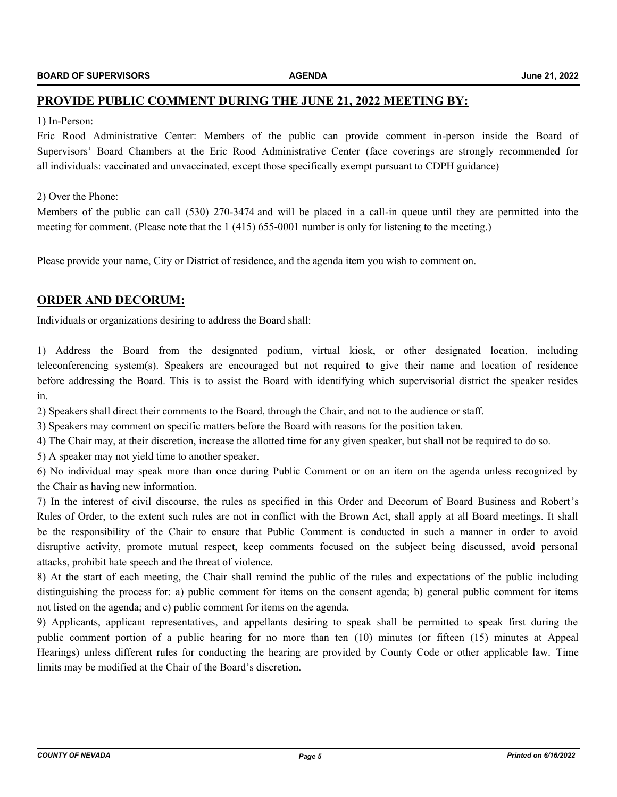## **PROVIDE PUBLIC COMMENT DURING THE JUNE 21, 2022 MEETING BY:**

#### 1) In-Person:

Eric Rood Administrative Center: Members of the public can provide comment in-person inside the Board of Supervisors' Board Chambers at the Eric Rood Administrative Center (face coverings are strongly recommended for all individuals: vaccinated and unvaccinated, except those specifically exempt pursuant to CDPH guidance)

#### 2) Over the Phone:

Members of the public can call (530) 270-3474 and will be placed in a call-in queue until they are permitted into the meeting for comment. (Please note that the 1 (415) 655-0001 number is only for listening to the meeting.)

Please provide your name, City or District of residence, and the agenda item you wish to comment on.

## **ORDER AND DECORUM:**

Individuals or organizations desiring to address the Board shall:

1) Address the Board from the designated podium, virtual kiosk, or other designated location, including teleconferencing system(s). Speakers are encouraged but not required to give their name and location of residence before addressing the Board. This is to assist the Board with identifying which supervisorial district the speaker resides in.

2) Speakers shall direct their comments to the Board, through the Chair, and not to the audience or staff.

3) Speakers may comment on specific matters before the Board with reasons for the position taken.

4) The Chair may, at their discretion, increase the allotted time for any given speaker, but shall not be required to do so.

5) A speaker may not yield time to another speaker.

6) No individual may speak more than once during Public Comment or on an item on the agenda unless recognized by the Chair as having new information.

7) In the interest of civil discourse, the rules as specified in this Order and Decorum of Board Business and Robert's Rules of Order, to the extent such rules are not in conflict with the Brown Act, shall apply at all Board meetings. It shall be the responsibility of the Chair to ensure that Public Comment is conducted in such a manner in order to avoid disruptive activity, promote mutual respect, keep comments focused on the subject being discussed, avoid personal attacks, prohibit hate speech and the threat of violence.

8) At the start of each meeting, the Chair shall remind the public of the rules and expectations of the public including distinguishing the process for: a) public comment for items on the consent agenda; b) general public comment for items not listed on the agenda; and c) public comment for items on the agenda.

9) Applicants, applicant representatives, and appellants desiring to speak shall be permitted to speak first during the public comment portion of a public hearing for no more than ten (10) minutes (or fifteen (15) minutes at Appeal Hearings) unless different rules for conducting the hearing are provided by County Code or other applicable law. Time limits may be modified at the Chair of the Board's discretion.